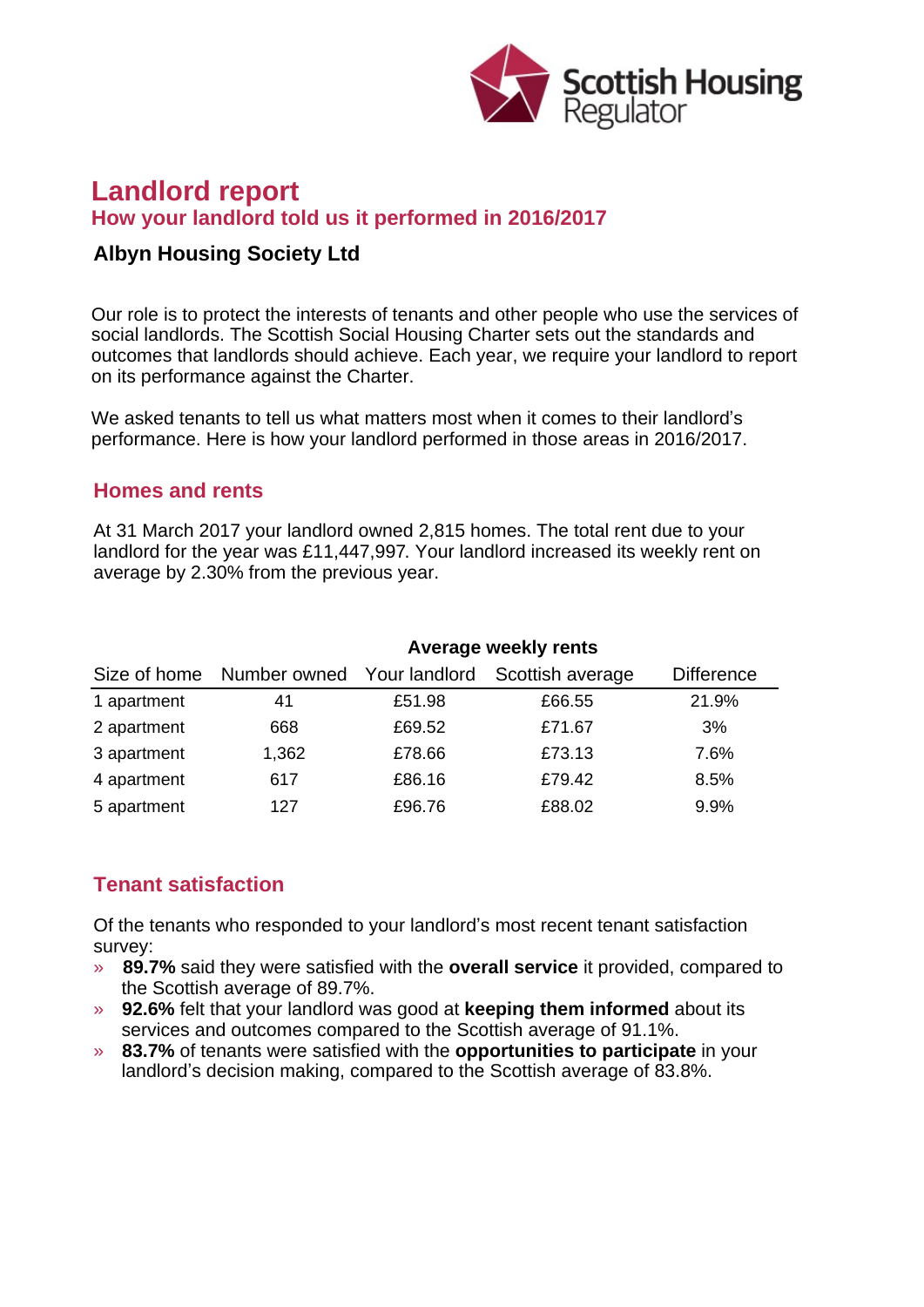

# **Landlord report How your landlord told us it performed in 2016/2017**

### **Albyn Housing Society Ltd**

Our role is to protect the interests of tenants and other people who use the services of social landlords. The Scottish Social Housing Charter sets out the standards and outcomes that landlords should achieve. Each year, we require your landlord to report on its performance against the Charter.

We asked tenants to tell us what matters most when it comes to their landlord's performance. Here is how your landlord performed in those areas in 2016/2017.

#### **Homes and rents**

At 31 March 2017 your landlord owned 2,815 homes. The total rent due to your landlord for the year was £11,447,997. Your landlord increased its weekly rent on average by 2.30% from the previous year.

| Size of home | Average weekly rents       |        |                  |                   |
|--------------|----------------------------|--------|------------------|-------------------|
|              | Number owned Your landlord |        | Scottish average | <b>Difference</b> |
| 1 apartment  | 41                         | £51.98 | £66.55           | 21.9%             |
| 2 apartment  | 668                        | £69.52 | £71.67           | 3%                |
| 3 apartment  | 1,362                      | £78.66 | £73.13           | 7.6%              |
| 4 apartment  | 617                        | £86.16 | £79.42           | 8.5%              |
| 5 apartment  | 127                        | £96.76 | £88.02           | 9.9%              |

## **Tenant satisfaction**

Of the tenants who responded to your landlord's most recent tenant satisfaction survey:

- » **89.7%** said they were satisfied with the **overall service** it provided, compared to the Scottish average of 89.7%.
- » **92.6%** felt that your landlord was good at **keeping them informed** about its services and outcomes compared to the Scottish average of 91.1%.
- » **83.7%** of tenants were satisfied with the **opportunities to participate** in your landlord's decision making, compared to the Scottish average of 83.8%.